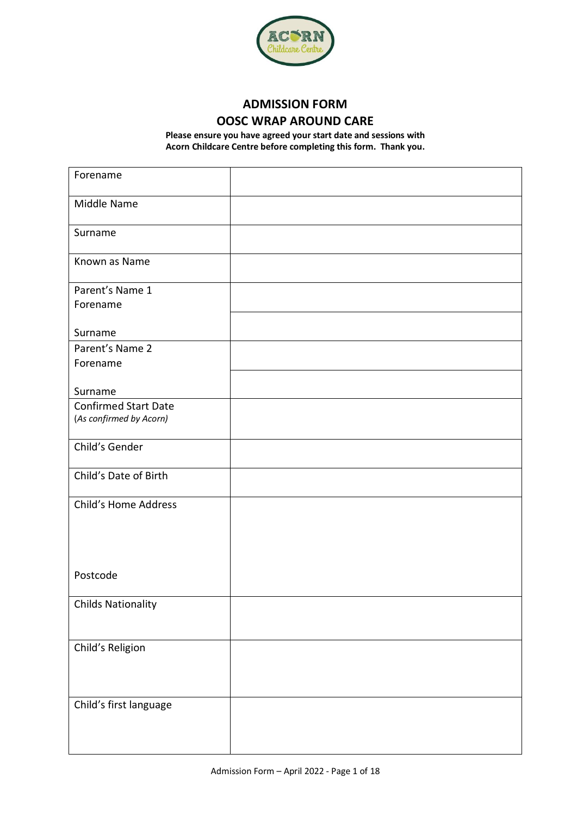

# **ADMISSION FORM OOSC WRAP AROUND CARE**

**Please ensure you have agreed your start date and sessions with Acorn Childcare Centre before completing this form. Thank you.**

| Forename                    |  |
|-----------------------------|--|
| Middle Name                 |  |
| Surname                     |  |
| Known as Name               |  |
| Parent's Name 1             |  |
| Forename                    |  |
| Surname                     |  |
| Parent's Name 2             |  |
| Forename                    |  |
|                             |  |
| Surname                     |  |
| <b>Confirmed Start Date</b> |  |
| (As confirmed by Acorn)     |  |
| Child's Gender              |  |
| Child's Date of Birth       |  |
| Child's Home Address        |  |
|                             |  |
|                             |  |
|                             |  |
| Postcode                    |  |
|                             |  |
| <b>Childs Nationality</b>   |  |
|                             |  |
|                             |  |
| Child's Religion            |  |
|                             |  |
|                             |  |
| Child's first language      |  |
|                             |  |
|                             |  |
|                             |  |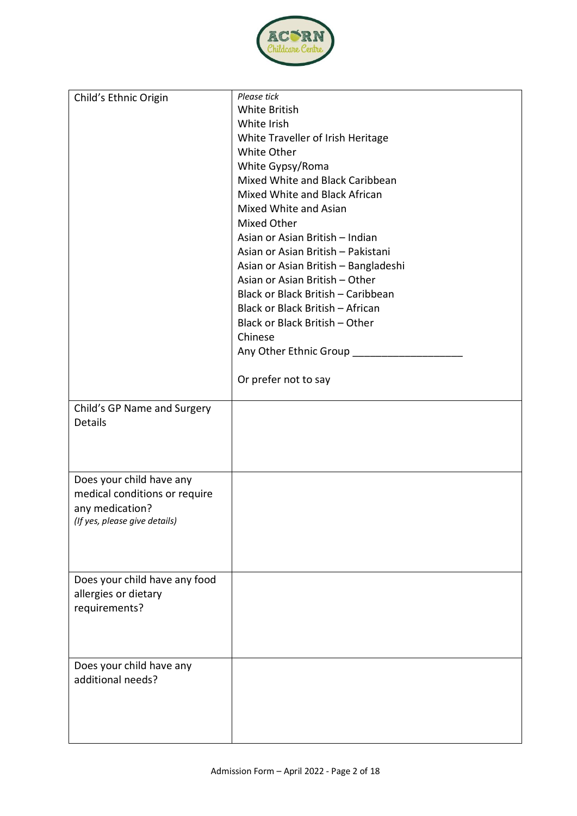

| Child's Ethnic Origin         | Please tick                          |
|-------------------------------|--------------------------------------|
|                               | White British                        |
|                               | White Irish                          |
|                               | White Traveller of Irish Heritage    |
|                               | White Other                          |
|                               | White Gypsy/Roma                     |
|                               | Mixed White and Black Caribbean      |
|                               | Mixed White and Black African        |
|                               | Mixed White and Asian                |
|                               | Mixed Other                          |
|                               | Asian or Asian British - Indian      |
|                               | Asian or Asian British - Pakistani   |
|                               | Asian or Asian British - Bangladeshi |
|                               | Asian or Asian British - Other       |
|                               | Black or Black British - Caribbean   |
|                               | Black or Black British - African     |
|                               | Black or Black British - Other       |
|                               | Chinese                              |
|                               | Any Other Ethnic Group _______       |
|                               |                                      |
|                               | Or prefer not to say                 |
|                               |                                      |
| Child's GP Name and Surgery   |                                      |
| Details                       |                                      |
|                               |                                      |
|                               |                                      |
|                               |                                      |
| Does your child have any      |                                      |
| medical conditions or require |                                      |
| any medication?               |                                      |
| (If yes, please give details) |                                      |
|                               |                                      |
|                               |                                      |
|                               |                                      |
| Does your child have any food |                                      |
| allergies or dietary          |                                      |
| requirements?                 |                                      |
|                               |                                      |
|                               |                                      |
|                               |                                      |
| Does your child have any      |                                      |
| additional needs?             |                                      |
|                               |                                      |
|                               |                                      |
|                               |                                      |
|                               |                                      |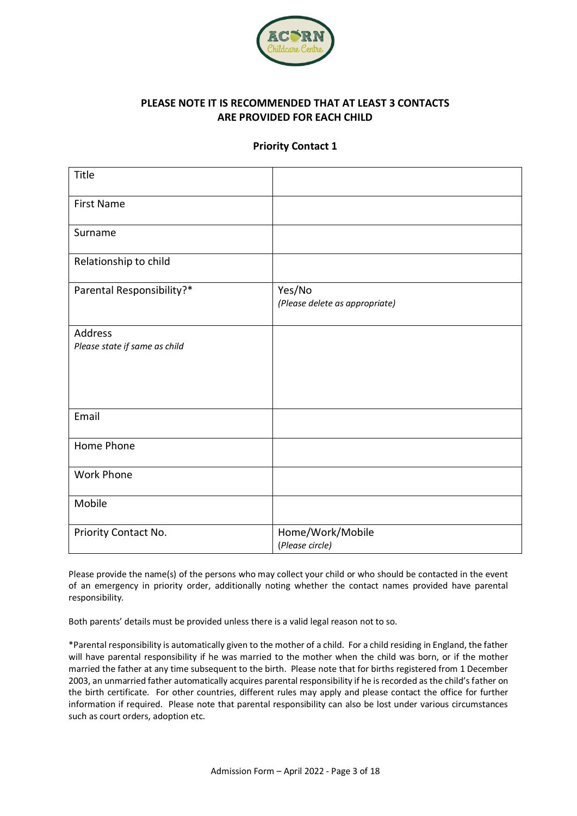

## **PLEASE NOTE IT IS RECOMMENDED THAT AT LEAST 3 CONTACTS ARE PROVIDED FOR EACH CHILD**

#### **Priority Contact 1**

| Title                                    |                                          |
|------------------------------------------|------------------------------------------|
| <b>First Name</b>                        |                                          |
| Surname                                  |                                          |
| Relationship to child                    |                                          |
| Parental Responsibility?*                | Yes/No<br>(Please delete as appropriate) |
| Address<br>Please state if same as child |                                          |
| Email                                    |                                          |
| Home Phone                               |                                          |
| Work Phone                               |                                          |
| Mobile                                   |                                          |
| Priority Contact No.                     | Home/Work/Mobile<br>(Please circle)      |

Please provide the name(s) of the persons who may collect your child or who should be contacted in the event of an emergency in priority order, additionally noting whether the contact names provided have parental responsibility.

Both parents' details must be provided unless there is a valid legal reason not to so.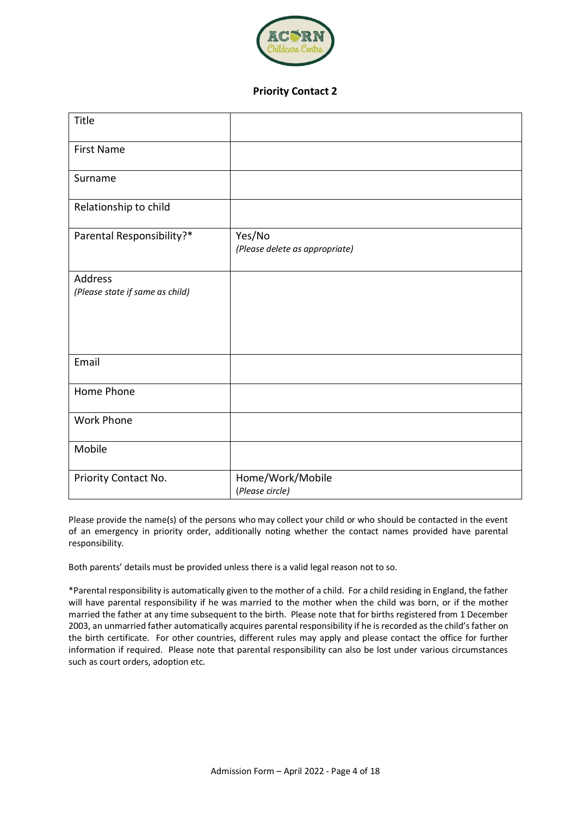

#### **Priority Contact 2**

| Title                                      |                                          |
|--------------------------------------------|------------------------------------------|
| <b>First Name</b>                          |                                          |
| Surname                                    |                                          |
| Relationship to child                      |                                          |
| Parental Responsibility?*                  | Yes/No<br>(Please delete as appropriate) |
| Address<br>(Please state if same as child) |                                          |
| Email                                      |                                          |
| Home Phone                                 |                                          |
| Work Phone                                 |                                          |
| Mobile                                     |                                          |
| Priority Contact No.                       | Home/Work/Mobile<br>(Please circle)      |

Please provide the name(s) of the persons who may collect your child or who should be contacted in the event of an emergency in priority order, additionally noting whether the contact names provided have parental responsibility.

Both parents' details must be provided unless there is a valid legal reason not to so.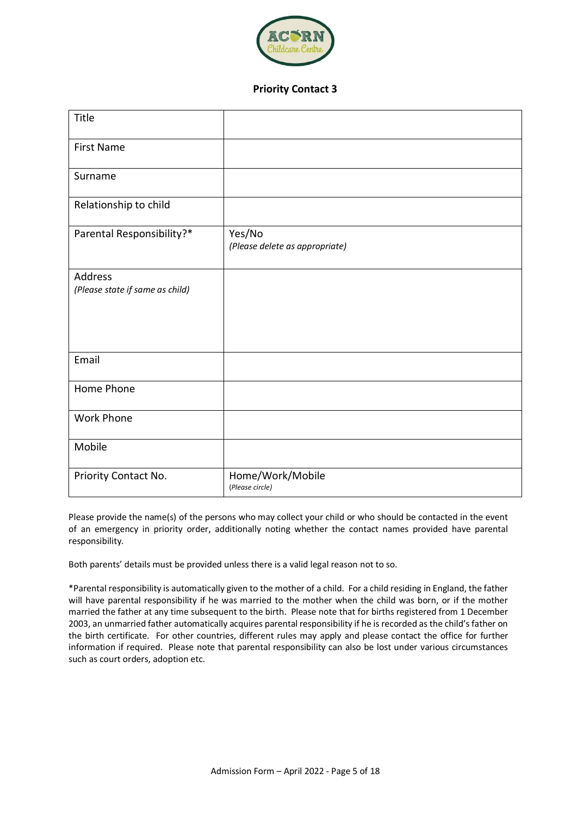

#### **Priority Contact 3**

| Title                                      |                                          |
|--------------------------------------------|------------------------------------------|
| <b>First Name</b>                          |                                          |
| Surname                                    |                                          |
| Relationship to child                      |                                          |
| Parental Responsibility?*                  | Yes/No<br>(Please delete as appropriate) |
| Address<br>(Please state if same as child) |                                          |
| Email                                      |                                          |
| Home Phone                                 |                                          |
| <b>Work Phone</b>                          |                                          |
| Mobile                                     |                                          |
| Priority Contact No.                       | Home/Work/Mobile<br>(Please circle)      |

Please provide the name(s) of the persons who may collect your child or who should be contacted in the event of an emergency in priority order, additionally noting whether the contact names provided have parental responsibility.

Both parents' details must be provided unless there is a valid legal reason not to so.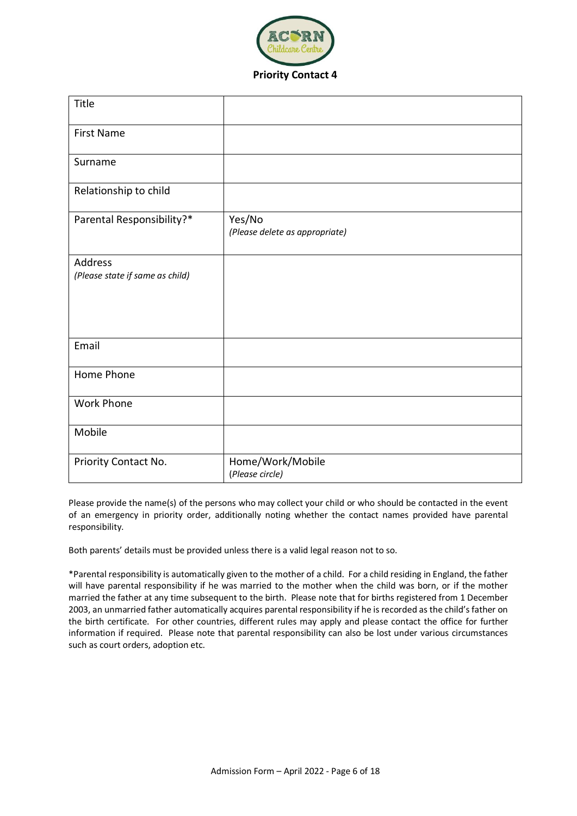

| Title                                      |                                          |
|--------------------------------------------|------------------------------------------|
| <b>First Name</b>                          |                                          |
| Surname                                    |                                          |
| Relationship to child                      |                                          |
| Parental Responsibility?*                  | Yes/No<br>(Please delete as appropriate) |
| Address<br>(Please state if same as child) |                                          |
| Email                                      |                                          |
| Home Phone                                 |                                          |
| <b>Work Phone</b>                          |                                          |
| Mobile                                     |                                          |
| Priority Contact No.                       | Home/Work/Mobile                         |

Please provide the name(s) of the persons who may collect your child or who should be contacted in the event of an emergency in priority order, additionally noting whether the contact names provided have parental responsibility.

Both parents' details must be provided unless there is a valid legal reason not to so.

(*Please circle)*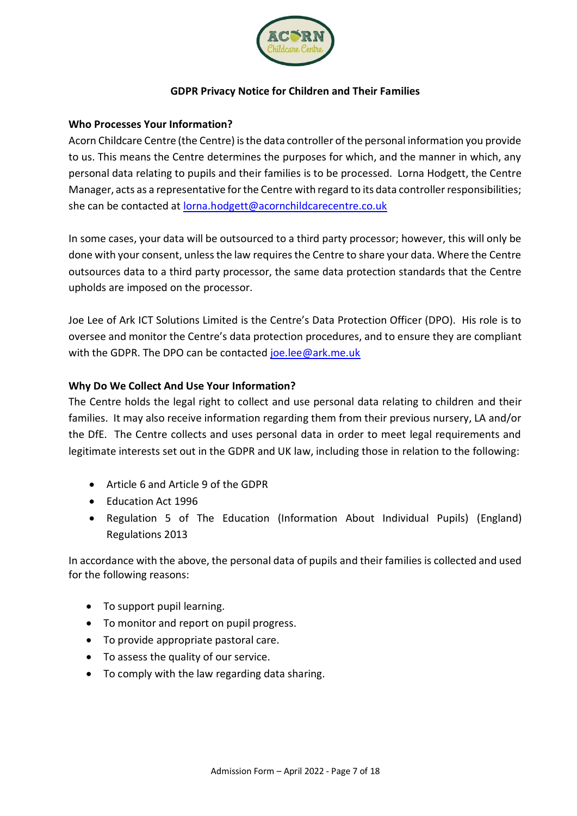

# **GDPR Privacy Notice for Children and Their Families**

### **Who Processes Your Information?**

Acorn Childcare Centre (the Centre) is the data controller of the personal information you provide to us. This means the Centre determines the purposes for which, and the manner in which, any personal data relating to pupils and their families is to be processed. Lorna Hodgett, the Centre Manager, acts as a representative for the Centre with regard to its data controller responsibilities; she can be contacted at [lorna.hodgett@acornchildcarecentre.co.uk](mailto:lorna.hodgett@acornchildcarecentre.co.uk)

In some cases, your data will be outsourced to a third party processor; however, this will only be done with your consent, unless the law requires the Centre to share your data. Where the Centre outsources data to a third party processor, the same data protection standards that the Centre upholds are imposed on the processor.

Joe Lee of Ark ICT Solutions Limited is the Centre's Data Protection Officer (DPO). His role is to oversee and monitor the Centre's data protection procedures, and to ensure they are compliant with the GDPR. The DPO can be contacted [joe.lee@ark.me.uk](mailto:joe.lee@ark.me.uk)

## **Why Do We Collect And Use Your Information?**

The Centre holds the legal right to collect and use personal data relating to children and their families. It may also receive information regarding them from their previous nursery, LA and/or the DfE. The Centre collects and uses personal data in order to meet legal requirements and legitimate interests set out in the GDPR and UK law, including those in relation to the following:

- Article 6 and Article 9 of the GDPR
- Education Act 1996
- Regulation 5 of The Education (Information About Individual Pupils) (England) Regulations 2013

In accordance with the above, the personal data of pupils and their families is collected and used for the following reasons:

- To support pupil learning.
- To monitor and report on pupil progress.
- To provide appropriate pastoral care.
- To assess the quality of our service.
- To comply with the law regarding data sharing.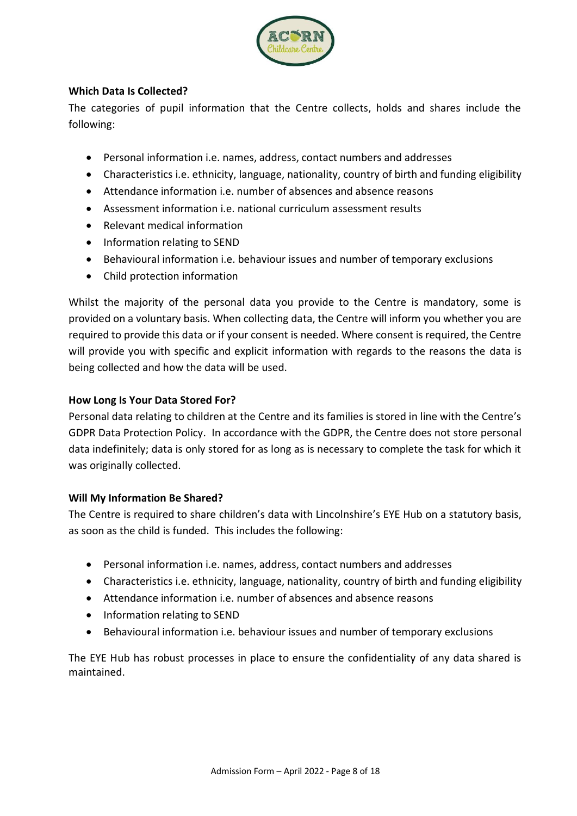

# **Which Data Is Collected?**

The categories of pupil information that the Centre collects, holds and shares include the following:

- Personal information i.e. names, address, contact numbers and addresses
- Characteristics i.e. ethnicity, language, nationality, country of birth and funding eligibility
- Attendance information i.e. number of absences and absence reasons
- Assessment information i.e. national curriculum assessment results
- Relevant medical information
- Information relating to SEND
- Behavioural information i.e. behaviour issues and number of temporary exclusions
- Child protection information

Whilst the majority of the personal data you provide to the Centre is mandatory, some is provided on a voluntary basis. When collecting data, the Centre will inform you whether you are required to provide this data or if your consent is needed. Where consent is required, the Centre will provide you with specific and explicit information with regards to the reasons the data is being collected and how the data will be used.

# **How Long Is Your Data Stored For?**

Personal data relating to children at the Centre and its families is stored in line with the Centre's GDPR Data Protection Policy. In accordance with the GDPR, the Centre does not store personal data indefinitely; data is only stored for as long as is necessary to complete the task for which it was originally collected.

# **Will My Information Be Shared?**

The Centre is required to share children's data with Lincolnshire's EYE Hub on a statutory basis, as soon as the child is funded. This includes the following:

- Personal information i.e. names, address, contact numbers and addresses
- Characteristics i.e. ethnicity, language, nationality, country of birth and funding eligibility
- Attendance information i.e. number of absences and absence reasons
- Information relating to SEND
- Behavioural information i.e. behaviour issues and number of temporary exclusions

The EYE Hub has robust processes in place to ensure the confidentiality of any data shared is maintained.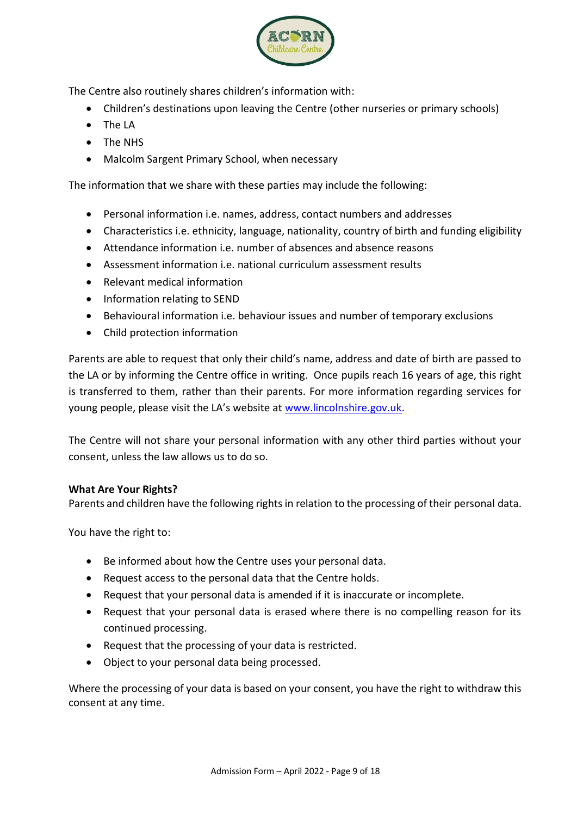

The Centre also routinely shares children's information with:

- Children's destinations upon leaving the Centre (other nurseries or primary schools)
- The LA
- The NHS
- Malcolm Sargent Primary School, when necessary

The information that we share with these parties may include the following:

- Personal information i.e. names, address, contact numbers and addresses
- Characteristics i.e. ethnicity, language, nationality, country of birth and funding eligibility
- Attendance information i.e. number of absences and absence reasons
- Assessment information i.e. national curriculum assessment results
- Relevant medical information
- Information relating to SEND
- Behavioural information i.e. behaviour issues and number of temporary exclusions
- Child protection information

Parents are able to request that only their child's name, address and date of birth are passed to the LA or by informing the Centre office in writing. Once pupils reach 16 years of age, this right is transferred to them, rather than their parents. For more information regarding services for young people, please visit the LA's website at [www.lincolnshire.gov.uk.](http://www.lincolnshire.gov.uk/)

The Centre will not share your personal information with any other third parties without your consent, unless the law allows us to do so.

#### **What Are Your Rights?**

Parents and children have the following rights in relation to the processing of their personal data.

You have the right to:

- Be informed about how the Centre uses your personal data.
- Request access to the personal data that the Centre holds.
- Request that your personal data is amended if it is inaccurate or incomplete.
- Request that your personal data is erased where there is no compelling reason for its continued processing.
- Request that the processing of your data is restricted.
- Object to your personal data being processed.

Where the processing of your data is based on your consent, you have the right to withdraw this consent at any time.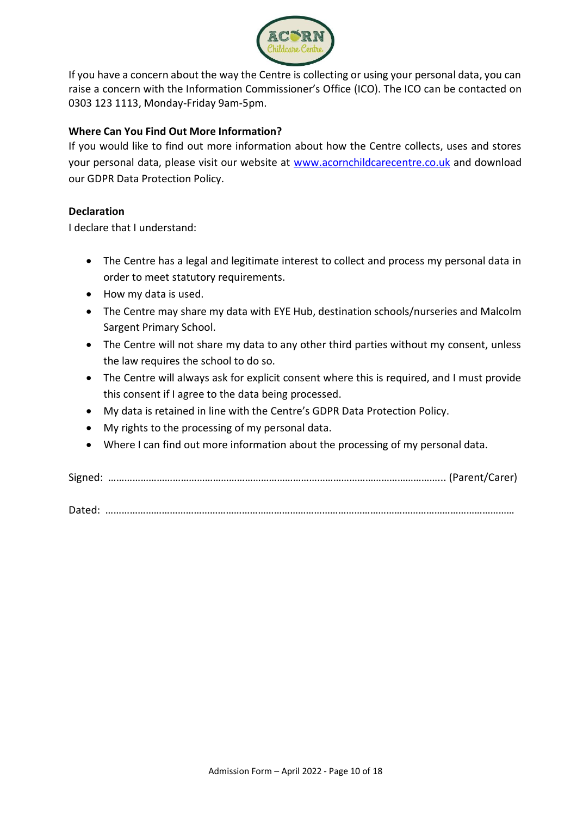

If you have a concern about the way the Centre is collecting or using your personal data, you can raise a concern with the Information Commissioner's Office (ICO). The ICO can be contacted on 0303 123 1113, Monday-Friday 9am-5pm.

# **Where Can You Find Out More Information?**

If you would like to find out more information about how the Centre collects, uses and stores your personal data, please visit our website at [www.acornchildcarecentre.co.uk](http://www.acornchildcarecentre.co.uk/) and download our GDPR Data Protection Policy.

# **Declaration**

I declare that I understand:

- The Centre has a legal and legitimate interest to collect and process my personal data in order to meet statutory requirements.
- How my data is used.
- The Centre may share my data with EYE Hub, destination schools/nurseries and Malcolm Sargent Primary School.
- The Centre will not share my data to any other third parties without my consent, unless the law requires the school to do so.
- The Centre will always ask for explicit consent where this is required, and I must provide this consent if I agree to the data being processed.
- My data is retained in line with the Centre's GDPR Data Protection Policy.
- My rights to the processing of my personal data.
- Where I can find out more information about the processing of my personal data.

Signed: ……………………………………………………………………………………………………………... (Parent/Carer)

Dated: ………………………………………………………………………………………………………………………………………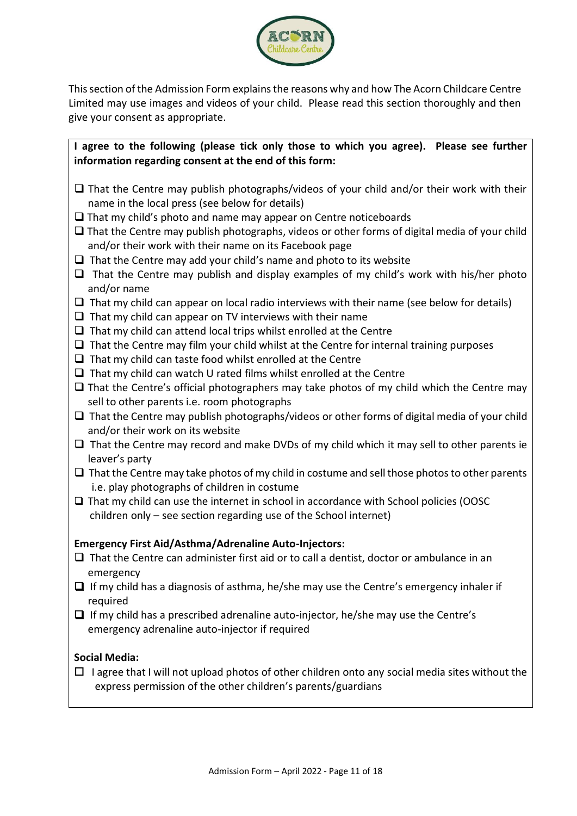

Thissection of the Admission Form explains the reasons why and how The Acorn Childcare Centre Limited may use images and videos of your child. Please read this section thoroughly and then give your consent as appropriate.

**I agree to the following (please tick only those to which you agree). Please see further information regarding consent at the end of this form:**

- $\Box$  That the Centre may publish photographs/videos of your child and/or their work with their name in the local press (see below for details)
- $\Box$  That my child's photo and name may appear on Centre noticeboards
- $\Box$  That the Centre may publish photographs, videos or other forms of digital media of your child and/or their work with their name on its Facebook page
- $\Box$  That the Centre may add your child's name and photo to its website
- $\Box$  That the Centre may publish and display examples of my child's work with his/her photo and/or name
- $\Box$  That my child can appear on local radio interviews with their name (see below for details)
- $\Box$  That my child can appear on TV interviews with their name
- $\Box$  That my child can attend local trips whilst enrolled at the Centre
- $\Box$  That the Centre may film your child whilst at the Centre for internal training purposes
- $\Box$  That my child can taste food whilst enrolled at the Centre
- $\Box$  That my child can watch U rated films whilst enrolled at the Centre
- $\Box$  That the Centre's official photographers may take photos of my child which the Centre may sell to other parents i.e. room photographs
- $\Box$  That the Centre may publish photographs/videos or other forms of digital media of your child and/or their work on its website
- $\Box$  That the Centre may record and make DVDs of my child which it may sell to other parents ie leaver's party
- $\Box$  That the Centre may take photos of my child in costume and sell those photos to other parents i.e. play photographs of children in costume
- $\Box$  That my child can use the internet in school in accordance with School policies (OOSC children only – see section regarding use of the School internet)

#### **Emergency First Aid/Asthma/Adrenaline Auto-Injectors:**

- $\Box$  That the Centre can administer first aid or to call a dentist, doctor or ambulance in an emergency
- If my child has a diagnosis of asthma, he/she may use the Centre's emergency inhaler if required
- $\Box$  If my child has a prescribed adrenaline auto-injector, he/she may use the Centre's emergency adrenaline auto-injector if required

#### **Social Media:**

 $\Box$  I agree that I will not upload photos of other children onto any social media sites without the express permission of the other children's parents/guardians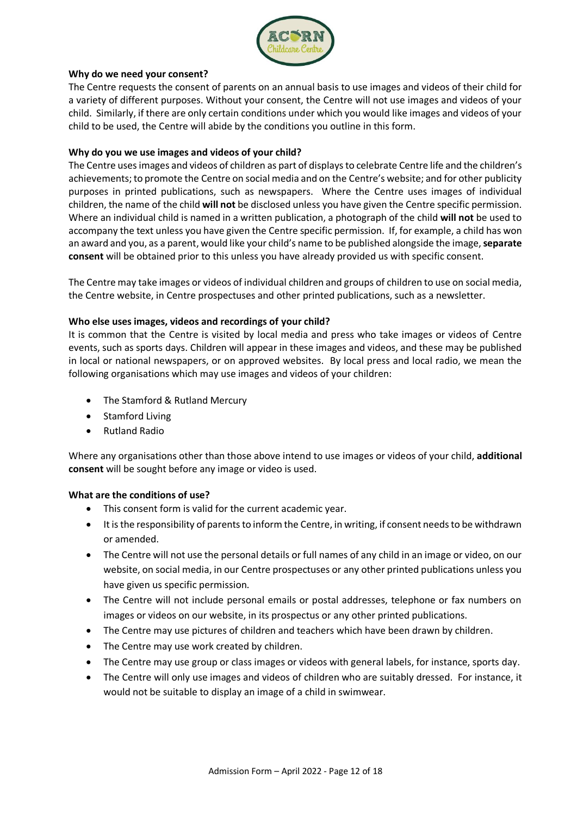

#### **Why do we need your consent?**

The Centre requests the consent of parents on an annual basis to use images and videos of their child for a variety of different purposes. Without your consent, the Centre will not use images and videos of your child. Similarly, if there are only certain conditions under which you would like images and videos of your child to be used, the Centre will abide by the conditions you outline in this form.

#### **Why do you we use images and videos of your child?**

The Centre uses images and videos of children as part of displays to celebrate Centre life and the children's achievements; to promote the Centre on social media and on the Centre's website; and for other publicity purposes in printed publications, such as newspapers. Where the Centre uses images of individual children, the name of the child **will not** be disclosed unless you have given the Centre specific permission. Where an individual child is named in a written publication, a photograph of the child **will not** be used to accompany the text unless you have given the Centre specific permission. If, for example, a child has won an award and you, as a parent, would like your child's name to be published alongside the image, **separate consent** will be obtained prior to this unless you have already provided us with specific consent.

The Centre may take images or videos of individual children and groups of children to use on social media, the Centre website, in Centre prospectuses and other printed publications, such as a newsletter.

#### **Who else uses images, videos and recordings of your child?**

It is common that the Centre is visited by local media and press who take images or videos of Centre events, such as sports days. Children will appear in these images and videos, and these may be published in local or national newspapers, or on approved websites. By local press and local radio, we mean the following organisations which may use images and videos of your children:

- The Stamford & Rutland Mercury
- Stamford Living
- Rutland Radio

Where any organisations other than those above intend to use images or videos of your child, **additional consent** will be sought before any image or video is used.

#### **What are the conditions of use?**

- This consent form is valid for the current academic year.
- It is the responsibility of parents to inform the Centre, in writing, if consent needs to be withdrawn or amended.
- The Centre will not use the personal details or full names of any child in an image or video, on our website, on social media, in our Centre prospectuses or any other printed publications unless you have given us specific permission.
- The Centre will not include personal emails or postal addresses, telephone or fax numbers on images or videos on our website, in its prospectus or any other printed publications.
- The Centre may use pictures of children and teachers which have been drawn by children.
- The Centre may use work created by children.
- The Centre may use group or class images or videos with general labels, for instance, sports day.
- The Centre will only use images and videos of children who are suitably dressed. For instance, it would not be suitable to display an image of a child in swimwear.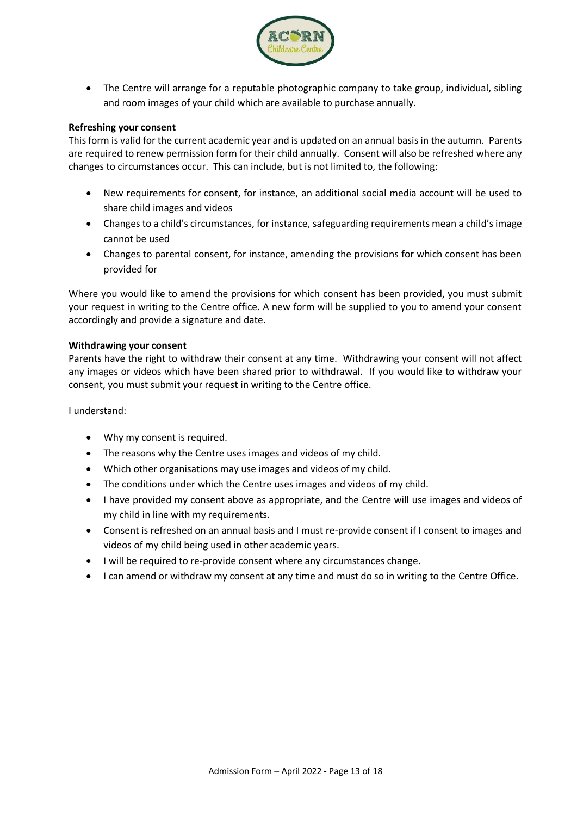

 The Centre will arrange for a reputable photographic company to take group, individual, sibling and room images of your child which are available to purchase annually.

#### **Refreshing your consent**

This form is valid for the current academic year and is updated on an annual basis in the autumn. Parents are required to renew permission form for their child annually. Consent will also be refreshed where any changes to circumstances occur. This can include, but is not limited to, the following:

- New requirements for consent, for instance, an additional social media account will be used to share child images and videos
- Changes to a child's circumstances, for instance, safeguarding requirements mean a child's image cannot be used
- Changes to parental consent, for instance, amending the provisions for which consent has been provided for

Where you would like to amend the provisions for which consent has been provided, you must submit your request in writing to the Centre office. A new form will be supplied to you to amend your consent accordingly and provide a signature and date.

#### **Withdrawing your consent**

Parents have the right to withdraw their consent at any time. Withdrawing your consent will not affect any images or videos which have been shared prior to withdrawal. If you would like to withdraw your consent, you must submit your request in writing to the Centre office.

I understand:

- Why my consent is required.
- The reasons why the Centre uses images and videos of my child.
- Which other organisations may use images and videos of my child.
- The conditions under which the Centre uses images and videos of my child.
- I have provided my consent above as appropriate, and the Centre will use images and videos of my child in line with my requirements.
- Consent is refreshed on an annual basis and I must re-provide consent if I consent to images and videos of my child being used in other academic years.
- I will be required to re-provide consent where any circumstances change.
- I can amend or withdraw my consent at any time and must do so in writing to the Centre Office.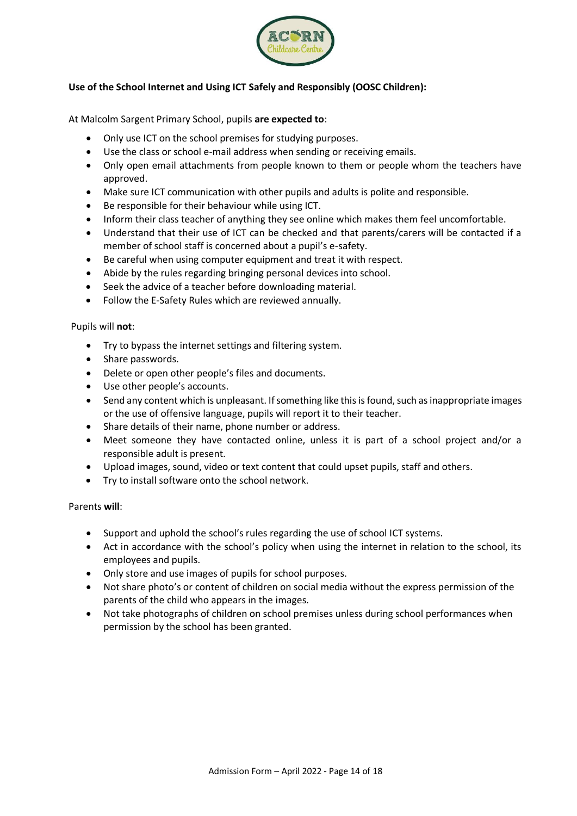

## **Use of the School Internet and Using ICT Safely and Responsibly (OOSC Children):**

At Malcolm Sargent Primary School, pupils **are expected to**:

- Only use ICT on the school premises for studying purposes.
- Use the class or school e-mail address when sending or receiving emails.
- Only open email attachments from people known to them or people whom the teachers have approved.
- Make sure ICT communication with other pupils and adults is polite and responsible.
- Be responsible for their behaviour while using ICT.
- Inform their class teacher of anything they see online which makes them feel uncomfortable.
- Understand that their use of ICT can be checked and that parents/carers will be contacted if a member of school staff is concerned about a pupil's e-safety.
- Be careful when using computer equipment and treat it with respect.
- Abide by the rules regarding bringing personal devices into school.
- Seek the advice of a teacher before downloading material.
- Follow the E-Safety Rules which are reviewed annually.

#### Pupils will **not**:

- Try to bypass the internet settings and filtering system.
- Share passwords.
- Delete or open other people's files and documents.
- Use other people's accounts.
- Send any content which is unpleasant. If something like this is found, such as inappropriate images or the use of offensive language, pupils will report it to their teacher.
- Share details of their name, phone number or address.
- Meet someone they have contacted online, unless it is part of a school project and/or a responsible adult is present.
- Upload images, sound, video or text content that could upset pupils, staff and others.
- Try to install software onto the school network.

#### Parents **will**:

- Support and uphold the school's rules regarding the use of school ICT systems.
- Act in accordance with the school's policy when using the internet in relation to the school, its employees and pupils.
- Only store and use images of pupils for school purposes.
- Not share photo's or content of children on social media without the express permission of the parents of the child who appears in the images.
- Not take photographs of children on school premises unless during school performances when permission by the school has been granted.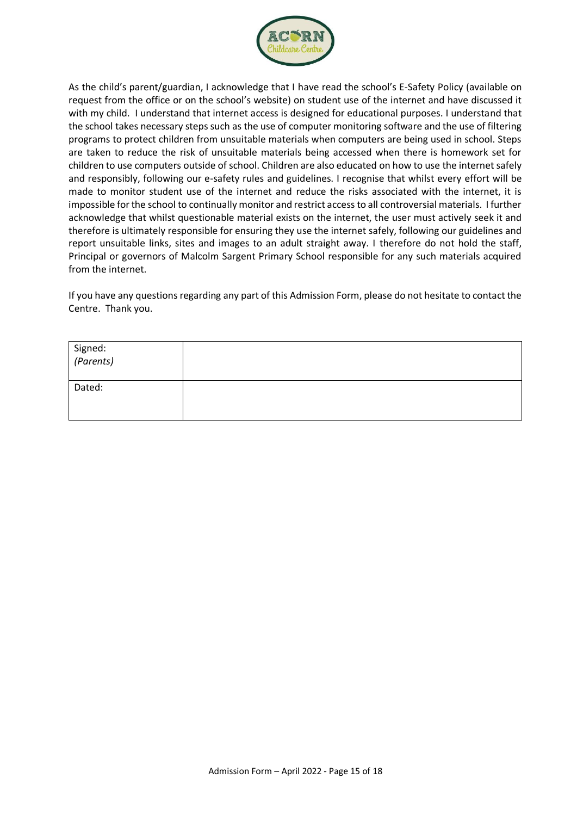![](_page_14_Picture_0.jpeg)

As the child's parent/guardian, I acknowledge that I have read the school's E-Safety Policy (available on request from the office or on the school's website) on student use of the internet and have discussed it with my child. I understand that internet access is designed for educational purposes. I understand that the school takes necessary steps such as the use of computer monitoring software and the use of filtering programs to protect children from unsuitable materials when computers are being used in school. Steps are taken to reduce the risk of unsuitable materials being accessed when there is homework set for children to use computers outside of school. Children are also educated on how to use the internet safely and responsibly, following our e-safety rules and guidelines. I recognise that whilst every effort will be made to monitor student use of the internet and reduce the risks associated with the internet, it is impossible for the school to continually monitor and restrict access to all controversial materials. I further acknowledge that whilst questionable material exists on the internet, the user must actively seek it and therefore is ultimately responsible for ensuring they use the internet safely, following our guidelines and report unsuitable links, sites and images to an adult straight away. I therefore do not hold the staff, Principal or governors of Malcolm Sargent Primary School responsible for any such materials acquired from the internet.

If you have any questions regarding any part of this Admission Form, please do not hesitate to contact the Centre. Thank you.

| Signed:<br><i>(Parents)</i> |  |
|-----------------------------|--|
| Dated:                      |  |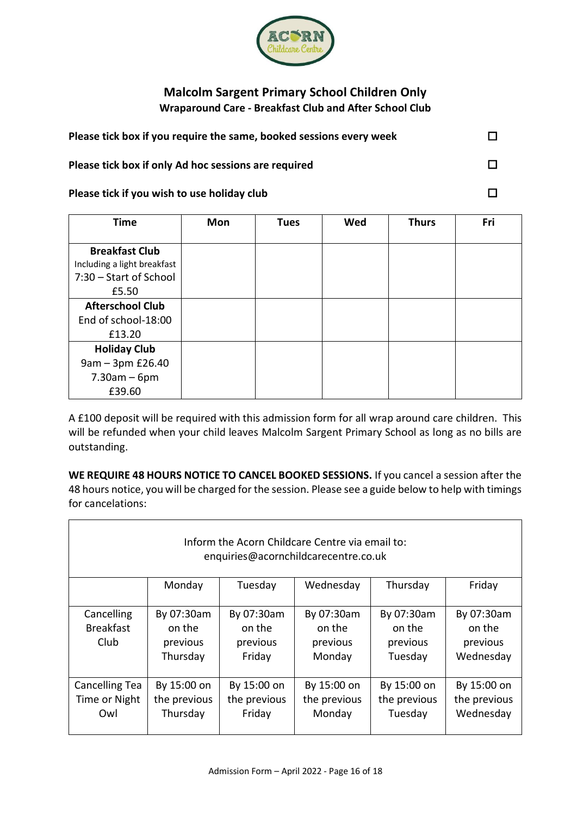![](_page_15_Picture_0.jpeg)

# **Malcolm Sargent Primary School Children Only Wraparound Care - Breakfast Club and After School Club**

| Please tick box if you require the same, booked sessions every week |  |
|---------------------------------------------------------------------|--|
| Please tick box if only Ad hoc sessions are required                |  |
| Please tick if you wish to use holiday club                         |  |

| <b>Time</b>                 | <b>Mon</b> | <b>Tues</b> | Wed | <b>Thurs</b> | Fri |
|-----------------------------|------------|-------------|-----|--------------|-----|
|                             |            |             |     |              |     |
| <b>Breakfast Club</b>       |            |             |     |              |     |
| Including a light breakfast |            |             |     |              |     |
| 7:30 – Start of School      |            |             |     |              |     |
| £5.50                       |            |             |     |              |     |
| <b>Afterschool Club</b>     |            |             |     |              |     |
| End of school-18:00         |            |             |     |              |     |
| £13.20                      |            |             |     |              |     |
| <b>Holiday Club</b>         |            |             |     |              |     |
| 9am - 3pm £26.40            |            |             |     |              |     |
| $7.30am - 6pm$              |            |             |     |              |     |
| £39.60                      |            |             |     |              |     |

A £100 deposit will be required with this admission form for all wrap around care children. This will be refunded when your child leaves Malcolm Sargent Primary School as long as no bills are outstanding.

**WE REQUIRE 48 HOURS NOTICE TO CANCEL BOOKED SESSIONS.** If you cancel a session after the 48 hours notice, you will be charged for the session. Please see a guide below to help with timings for cancelations:

| Inform the Acorn Childcare Centre via email to:<br>enquiries@acornchildcarecentre.co.uk |                                              |                                            |                                            |                                             |                                               |
|-----------------------------------------------------------------------------------------|----------------------------------------------|--------------------------------------------|--------------------------------------------|---------------------------------------------|-----------------------------------------------|
|                                                                                         | Monday                                       | Tuesday                                    | Wednesday                                  | Thursday                                    | Friday                                        |
|                                                                                         |                                              |                                            |                                            |                                             |                                               |
| Cancelling<br><b>Breakfast</b><br>Club                                                  | By 07:30am<br>on the<br>previous<br>Thursday | By 07:30am<br>on the<br>previous<br>Friday | By 07:30am<br>on the<br>previous<br>Monday | By 07:30am<br>on the<br>previous<br>Tuesday | By 07:30am<br>on the<br>previous<br>Wednesday |
| Cancelling Tea<br>Time or Night<br>Owl                                                  | By 15:00 on<br>the previous<br>Thursday      | By 15:00 on<br>the previous<br>Friday      | By 15:00 on<br>the previous<br>Monday      | By 15:00 on<br>the previous<br>Tuesday      | By 15:00 on<br>the previous<br>Wednesday      |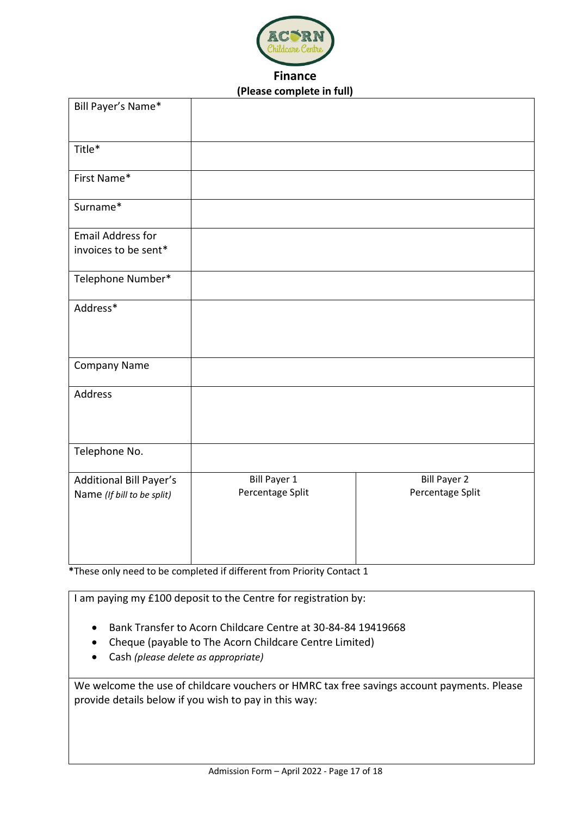![](_page_16_Picture_0.jpeg)

# **Finance (Please complete in full)**

| Bill Payer's Name*                                           |                                         |                                         |
|--------------------------------------------------------------|-----------------------------------------|-----------------------------------------|
| Title*                                                       |                                         |                                         |
| First Name*                                                  |                                         |                                         |
| Surname*                                                     |                                         |                                         |
| <b>Email Address for</b><br>invoices to be sent*             |                                         |                                         |
| Telephone Number*                                            |                                         |                                         |
| Address*                                                     |                                         |                                         |
| <b>Company Name</b>                                          |                                         |                                         |
| Address                                                      |                                         |                                         |
| Telephone No.                                                |                                         |                                         |
| <b>Additional Bill Payer's</b><br>Name (If bill to be split) | <b>Bill Payer 1</b><br>Percentage Split | <b>Bill Payer 2</b><br>Percentage Split |

**\***These only need to be completed if different from Priority Contact 1

I am paying my £100 deposit to the Centre for registration by:

- Bank Transfer to Acorn Childcare Centre at 30-84-84 19419668
- Cheque (payable to The Acorn Childcare Centre Limited)
- Cash *(please delete as appropriate)*

We welcome the use of childcare vouchers or HMRC tax free savings account payments. Please provide details below if you wish to pay in this way: